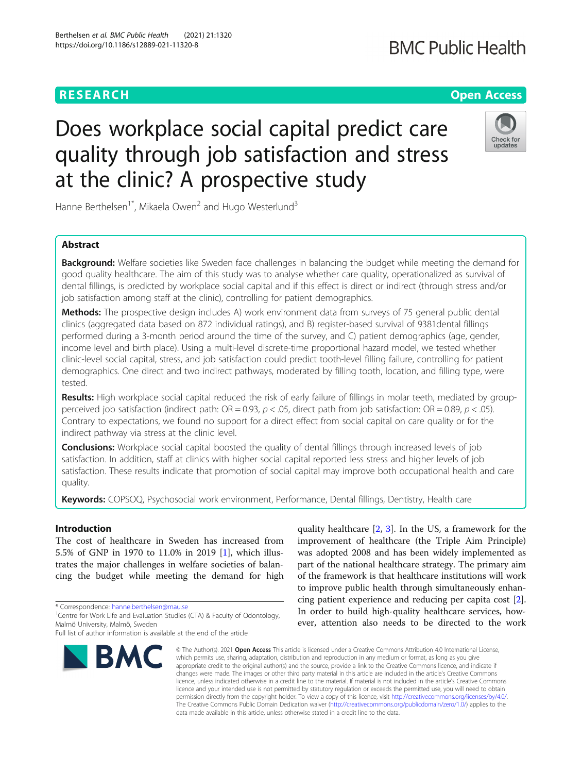# Does workplace social capital predict care quality through job satisfaction and stress at the clinic? A prospective study

Hanne Berthelsen<sup>1\*</sup>, Mikaela Owen<sup>2</sup> and Hugo Westerlund<sup>3</sup>

### Abstract

**Background:** Welfare societies like Sweden face challenges in balancing the budget while meeting the demand for good quality healthcare. The aim of this study was to analyse whether care quality, operationalized as survival of dental fillings, is predicted by workplace social capital and if this effect is direct or indirect (through stress and/or job satisfaction among staff at the clinic), controlling for patient demographics.

Methods: The prospective design includes A) work environment data from surveys of 75 general public dental clinics (aggregated data based on 872 individual ratings), and B) register-based survival of 9381dental fillings performed during a 3-month period around the time of the survey, and C) patient demographics (age, gender, income level and birth place). Using a multi-level discrete-time proportional hazard model, we tested whether clinic-level social capital, stress, and job satisfaction could predict tooth-level filling failure, controlling for patient demographics. One direct and two indirect pathways, moderated by filling tooth, location, and filling type, were tested.

Results: High workplace social capital reduced the risk of early failure of fillings in molar teeth, mediated by groupperceived job satisfaction (indirect path:  $OR = 0.93$ ,  $p < .05$ , direct path from job satisfaction:  $OR = 0.89$ ,  $p < .05$ ). Contrary to expectations, we found no support for a direct effect from social capital on care quality or for the indirect pathway via stress at the clinic level.

**Conclusions:** Workplace social capital boosted the quality of dental fillings through increased levels of job satisfaction. In addition, staff at clinics with higher social capital reported less stress and higher levels of job satisfaction. These results indicate that promotion of social capital may improve both occupational health and care quality.

Keywords: COPSOQ, Psychosocial work environment, Performance, Dental fillings, Dentistry, Health care

#### Introduction

The cost of healthcare in Sweden has increased from 5.5% of GNP in 1970 to 11.0% in 2019 [\[1\]](#page-8-0), which illustrates the major challenges in welfare societies of balancing the budget while meeting the demand for high

\* Correspondence: [hanne.berthelsen@mau.se](mailto:hanne.berthelsen@mau.se) <sup>1</sup>

## Berthelsen et al. BMC Public Health (2021) 21:1320 https://doi.org/10.1186/s12889-021-11320-8

**BMC** 

was adopted 2008 and has been widely implemented as part of the national healthcare strategy. The primary aim of the framework is that healthcare institutions will work to improve public health through simultaneously enhancing patient experience and reducing per capita cost [\[2](#page-8-0)]. In order to build high-quality healthcare services, however, attention also needs to be directed to the work

quality healthcare [\[2](#page-8-0), [3\]](#page-8-0). In the US, a framework for the improvement of healthcare (the Triple Aim Principle)

© The Author(s), 2021 **Open Access** This article is licensed under a Creative Commons Attribution 4.0 International License, which permits use, sharing, adaptation, distribution and reproduction in any medium or format, as long as you give appropriate credit to the original author(s) and the source, provide a link to the Creative Commons licence, and indicate if changes were made. The images or other third party material in this article are included in the article's Creative Commons licence, unless indicated otherwise in a credit line to the material. If material is not included in the article's Creative Commons licence and your intended use is not permitted by statutory regulation or exceeds the permitted use, you will need to obtain permission directly from the copyright holder. To view a copy of this licence, visit [http://creativecommons.org/licenses/by/4.0/.](http://creativecommons.org/licenses/by/4.0/) The Creative Commons Public Domain Dedication waiver [\(http://creativecommons.org/publicdomain/zero/1.0/](http://creativecommons.org/publicdomain/zero/1.0/)) applies to the data made available in this article, unless otherwise stated in a credit line to the data.



Check for undate

## **RESEARCH CHE Open Access**

<sup>&</sup>lt;sup>1</sup> Centre for Work Life and Evaluation Studies (CTA) & Faculty of Odontology, Malmö University, Malmö, Sweden

Full list of author information is available at the end of the article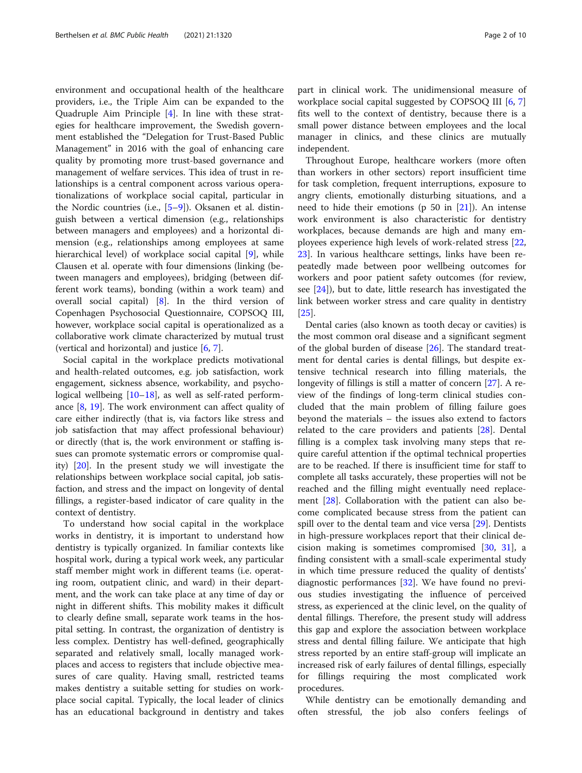environment and occupational health of the healthcare providers, i.e., the Triple Aim can be expanded to the Quadruple Aim Principle [[4\]](#page-8-0). In line with these strategies for healthcare improvement, the Swedish government established the "Delegation for Trust-Based Public Management" in 2016 with the goal of enhancing care quality by promoting more trust-based governance and management of welfare services. This idea of trust in relationships is a central component across various operationalizations of workplace social capital, particular in the Nordic countries (i.e., [\[5](#page-8-0)–[9](#page-8-0)]). Oksanen et al. distinguish between a vertical dimension (e.g., relationships between managers and employees) and a horizontal dimension (e.g., relationships among employees at same hierarchical level) of workplace social capital [\[9](#page-8-0)], while Clausen et al. operate with four dimensions (linking (between managers and employees), bridging (between different work teams), bonding (within a work team) and overall social capital) [[8\]](#page-8-0). In the third version of Copenhagen Psychosocial Questionnaire, COPSOQ III, however, workplace social capital is operationalized as a collaborative work climate characterized by mutual trust (vertical and horizontal) and justice [\[6](#page-8-0), [7](#page-8-0)].

Social capital in the workplace predicts motivational and health-related outcomes, e.g. job satisfaction, work engagement, sickness absence, workability, and psychological wellbeing  $[10-18]$  $[10-18]$  $[10-18]$  $[10-18]$  $[10-18]$ , as well as self-rated performance [[8,](#page-8-0) [19\]](#page-8-0). The work environment can affect quality of care either indirectly (that is, via factors like stress and job satisfaction that may affect professional behaviour) or directly (that is, the work environment or staffing issues can promote systematic errors or compromise quality) [\[20](#page-8-0)]. In the present study we will investigate the relationships between workplace social capital, job satisfaction, and stress and the impact on longevity of dental fillings, a register-based indicator of care quality in the context of dentistry.

To understand how social capital in the workplace works in dentistry, it is important to understand how dentistry is typically organized. In familiar contexts like hospital work, during a typical work week, any particular staff member might work in different teams (i.e. operating room, outpatient clinic, and ward) in their department, and the work can take place at any time of day or night in different shifts. This mobility makes it difficult to clearly define small, separate work teams in the hospital setting. In contrast, the organization of dentistry is less complex. Dentistry has well-defined, geographically separated and relatively small, locally managed workplaces and access to registers that include objective measures of care quality. Having small, restricted teams makes dentistry a suitable setting for studies on workplace social capital. Typically, the local leader of clinics has an educational background in dentistry and takes

part in clinical work. The unidimensional measure of workplace social capital suggested by COPSOQ III [\[6](#page-8-0), [7](#page-8-0)] fits well to the context of dentistry, because there is a small power distance between employees and the local manager in clinics, and these clinics are mutually independent.

Throughout Europe, healthcare workers (more often than workers in other sectors) report insufficient time for task completion, frequent interruptions, exposure to angry clients, emotionally disturbing situations, and a need to hide their emotions ( $p$  50 in  $[21]$  $[21]$ ). An intense work environment is also characteristic for dentistry workplaces, because demands are high and many employees experience high levels of work-related stress [[22](#page-8-0), [23\]](#page-8-0). In various healthcare settings, links have been repeatedly made between poor wellbeing outcomes for workers and poor patient safety outcomes (for review, see [[24\]](#page-8-0)), but to date, little research has investigated the link between worker stress and care quality in dentistry [[25\]](#page-8-0).

Dental caries (also known as tooth decay or cavities) is the most common oral disease and a significant segment of the global burden of disease [\[26](#page-8-0)]. The standard treatment for dental caries is dental fillings, but despite extensive technical research into filling materials, the longevity of fillings is still a matter of concern [[27\]](#page-8-0). A review of the findings of long-term clinical studies concluded that the main problem of filling failure goes beyond the materials – the issues also extend to factors related to the care providers and patients [[28\]](#page-8-0). Dental filling is a complex task involving many steps that require careful attention if the optimal technical properties are to be reached. If there is insufficient time for staff to complete all tasks accurately, these properties will not be reached and the filling might eventually need replacement [[28](#page-8-0)]. Collaboration with the patient can also become complicated because stress from the patient can spill over to the dental team and vice versa [\[29\]](#page-8-0). Dentists in high-pressure workplaces report that their clinical decision making is sometimes compromised [[30,](#page-8-0) [31](#page-8-0)], a finding consistent with a small-scale experimental study in which time pressure reduced the quality of dentists' diagnostic performances [[32](#page-9-0)]. We have found no previous studies investigating the influence of perceived stress, as experienced at the clinic level, on the quality of dental fillings. Therefore, the present study will address this gap and explore the association between workplace stress and dental filling failure. We anticipate that high stress reported by an entire staff-group will implicate an increased risk of early failures of dental fillings, especially for fillings requiring the most complicated work procedures.

While dentistry can be emotionally demanding and often stressful, the job also confers feelings of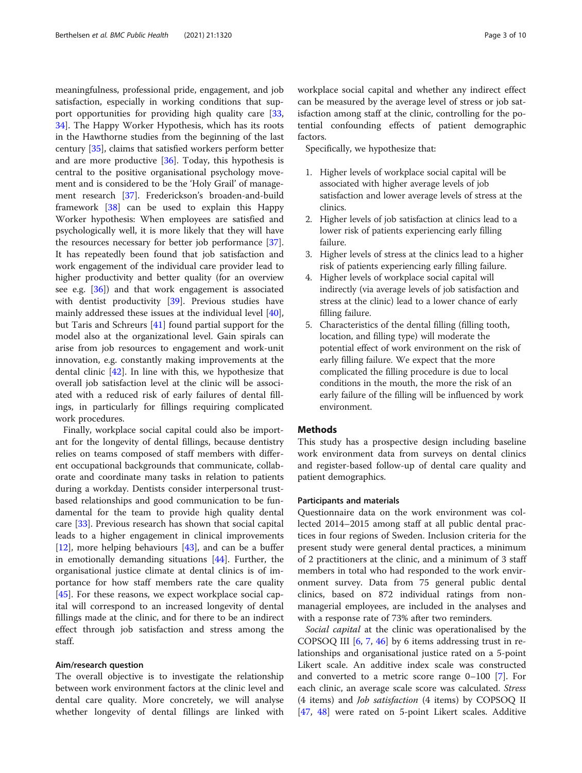meaningfulness, professional pride, engagement, and job satisfaction, especially in working conditions that support opportunities for providing high quality care [[33](#page-9-0), [34\]](#page-9-0). The Happy Worker Hypothesis, which has its roots in the Hawthorne studies from the beginning of the last century [[35](#page-9-0)], claims that satisfied workers perform better and are more productive [[36\]](#page-9-0). Today, this hypothesis is central to the positive organisational psychology movement and is considered to be the 'Holy Grail' of management research [[37\]](#page-9-0). Frederickson's broaden-and-build framework [\[38](#page-9-0)] can be used to explain this Happy Worker hypothesis: When employees are satisfied and psychologically well, it is more likely that they will have the resources necessary for better job performance [\[37](#page-9-0)]. It has repeatedly been found that job satisfaction and work engagement of the individual care provider lead to higher productivity and better quality (for an overview see e.g. [[36\]](#page-9-0)) and that work engagement is associated with dentist productivity [\[39](#page-9-0)]. Previous studies have mainly addressed these issues at the individual level [\[40](#page-9-0)], but Taris and Schreurs [[41\]](#page-9-0) found partial support for the model also at the organizational level. Gain spirals can arise from job resources to engagement and work-unit innovation, e.g. constantly making improvements at the dental clinic [[42](#page-9-0)]. In line with this, we hypothesize that overall job satisfaction level at the clinic will be associated with a reduced risk of early failures of dental fillings, in particularly for fillings requiring complicated work procedures.

Finally, workplace social capital could also be important for the longevity of dental fillings, because dentistry relies on teams composed of staff members with different occupational backgrounds that communicate, collaborate and coordinate many tasks in relation to patients during a workday. Dentists consider interpersonal trustbased relationships and good communication to be fundamental for the team to provide high quality dental care [[33\]](#page-9-0). Previous research has shown that social capital leads to a higher engagement in clinical improvements [[12\]](#page-8-0), more helping behaviours  $[43]$ , and can be a buffer in emotionally demanding situations [[44\]](#page-9-0). Further, the organisational justice climate at dental clinics is of importance for how staff members rate the care quality [[45\]](#page-9-0). For these reasons, we expect workplace social capital will correspond to an increased longevity of dental fillings made at the clinic, and for there to be an indirect effect through job satisfaction and stress among the staff.

#### Aim/research question

The overall objective is to investigate the relationship between work environment factors at the clinic level and dental care quality. More concretely, we will analyse whether longevity of dental fillings are linked with workplace social capital and whether any indirect effect can be measured by the average level of stress or job satisfaction among staff at the clinic, controlling for the potential confounding effects of patient demographic factors.

Specifically, we hypothesize that:

- 1. Higher levels of workplace social capital will be associated with higher average levels of job satisfaction and lower average levels of stress at the clinics.
- 2. Higher levels of job satisfaction at clinics lead to a lower risk of patients experiencing early filling failure.
- 3. Higher levels of stress at the clinics lead to a higher risk of patients experiencing early filling failure.
- 4. Higher levels of workplace social capital will indirectly (via average levels of job satisfaction and stress at the clinic) lead to a lower chance of early filling failure.
- 5. Characteristics of the dental filling (filling tooth, location, and filling type) will moderate the potential effect of work environment on the risk of early filling failure. We expect that the more complicated the filling procedure is due to local conditions in the mouth, the more the risk of an early failure of the filling will be influenced by work environment.

#### Methods

This study has a prospective design including baseline work environment data from surveys on dental clinics and register-based follow-up of dental care quality and patient demographics.

#### Participants and materials

Questionnaire data on the work environment was collected 2014–2015 among staff at all public dental practices in four regions of Sweden. Inclusion criteria for the present study were general dental practices, a minimum of 2 practitioners at the clinic, and a minimum of 3 staff members in total who had responded to the work environment survey. Data from 75 general public dental clinics, based on 872 individual ratings from nonmanagerial employees, are included in the analyses and with a response rate of 73% after two reminders.

Social capital at the clinic was operationalised by the COPSOQ III [\[6](#page-8-0), [7](#page-8-0), [46\]](#page-9-0) by 6 items addressing trust in relationships and organisational justice rated on a 5-point Likert scale. An additive index scale was constructed and converted to a metric score range 0–100 [[7\]](#page-8-0). For each clinic, an average scale score was calculated. Stress (4 items) and Job satisfaction (4 items) by COPSOQ II [[47,](#page-9-0) [48\]](#page-9-0) were rated on 5-point Likert scales. Additive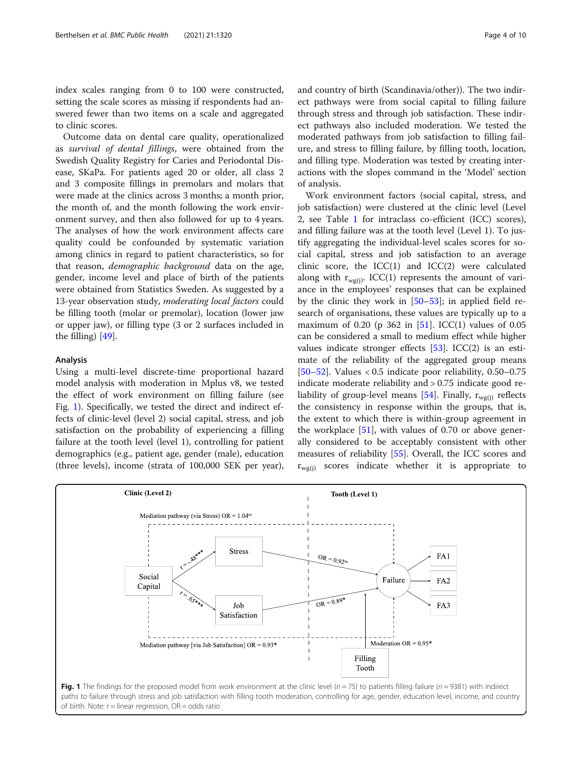<span id="page-3-0"></span>index scales ranging from 0 to 100 were constructed, setting the scale scores as missing if respondents had answered fewer than two items on a scale and aggregated to clinic scores.

Outcome data on dental care quality, operationalized as survival of dental fillings, were obtained from the Swedish Quality Registry for Caries and Periodontal Disease, SKaPa. For patients aged 20 or older, all class 2 and 3 composite fillings in premolars and molars that were made at the clinics across 3 months; a month prior, the month of, and the month following the work environment survey, and then also followed for up to 4 years. The analyses of how the work environment affects care quality could be confounded by systematic variation among clinics in regard to patient characteristics, so for that reason, *demographic background* data on the age, gender, income level and place of birth of the patients were obtained from Statistics Sweden. As suggested by a 13-year observation study, *moderating local factors* could be filling tooth (molar or premolar), location (lower jaw or upper jaw), or filling type (3 or 2 surfaces included in the filling) [[49\]](#page-9-0).

#### Analysis

Using a multi-level discrete-time proportional hazard model analysis with moderation in Mplus v8, we tested the effect of work environment on filling failure (see Fig. 1). Specifically, we tested the direct and indirect effects of clinic-level (level 2) social capital, stress, and job satisfaction on the probability of experiencing a filling failure at the tooth level (level 1), controlling for patient demographics (e.g., patient age, gender (male), education (three levels), income (strata of 100,000 SEK per year), and country of birth (Scandinavia/other)). The two indirect pathways were from social capital to filling failure through stress and through job satisfaction. These indirect pathways also included moderation. We tested the moderated pathways from job satisfaction to filling failure, and stress to filling failure, by filling tooth, location, and filling type. Moderation was tested by creating interactions with the slopes command in the 'Model' section of analysis.

Work environment factors (social capital, stress, and job satisfaction) were clustered at the clinic level (Level 2, see Table [1](#page-4-0) for intraclass co-efficient (ICC) scores), and filling failure was at the tooth level (Level 1). To justify aggregating the individual-level scales scores for social capital, stress and job satisfaction to an average clinic score, the ICC(1) and ICC(2) were calculated along with  $r_{w\sigma(i)}$ . ICC(1) represents the amount of variance in the employees' responses that can be explained by the clinic they work in [[50](#page-9-0)–[53](#page-9-0)]; in applied field research of organisations, these values are typically up to a maximum of 0.20 (p 362 in  $[51]$  $[51]$  $[51]$ . ICC(1) values of 0.05 can be considered a small to medium effect while higher values indicate stronger effects  $[53]$  $[53]$ . ICC(2) is an estimate of the reliability of the aggregated group means [[50](#page-9-0)–[52](#page-9-0)]. Values < 0.5 indicate poor reliability, 0.50–0.75 indicate moderate reliability and > 0.75 indicate good re-liability of group-level means [\[54\]](#page-9-0). Finally,  $r_{wg(i)}$  reflects the consistency in response within the groups, that is, the extent to which there is within-group agreement in the workplace  $[51]$ , with values of 0.70 or above generally considered to be acceptably consistent with other measures of reliability [\[55\]](#page-9-0). Overall, the ICC scores and  $r_{\text{wg(i)}}$  scores indicate whether it is appropriate to

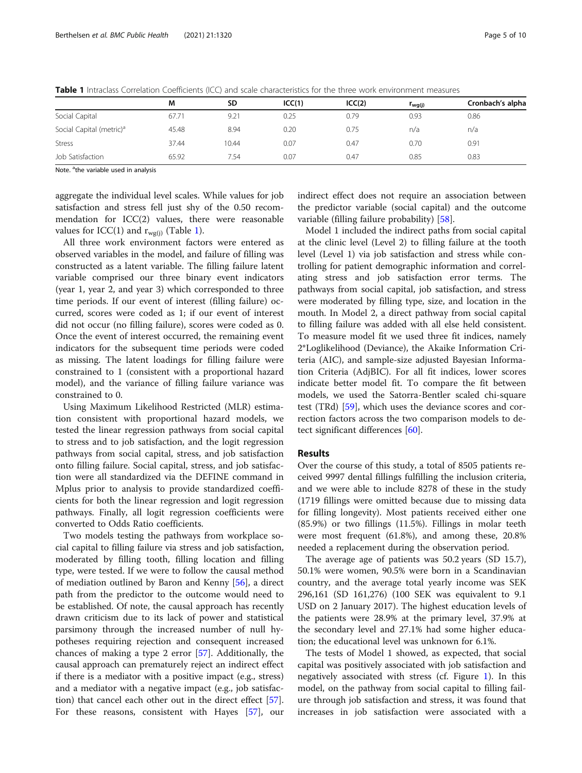|                                      | M     | <b>SD</b> | ICC(1) | ICC(2) | $r_{wg(j)}$ | Cronbach's alpha |
|--------------------------------------|-------|-----------|--------|--------|-------------|------------------|
| Social Capital                       | 67.71 | 9.21      | 0.25   | 0.79   | 0.93        | 0.86             |
| Social Capital (metric) <sup>a</sup> | 45.48 | 8.94      | 0.20   | 0.75   | n/a         | n/a              |
| <b>Stress</b>                        | 37.44 | 10.44     | 0.07   | 0.47   | 0.70        | 0.91             |
| Job Satisfaction                     | 65.92 | 7.54      | 0.07   | 0.47   | 0.85        | 0.83             |

<span id="page-4-0"></span>Table 1 Intraclass Correlation Coefficients (ICC) and scale characteristics for the three work environment measures

Note. <sup>a</sup>the variable used in analysis

aggregate the individual level scales. While values for job satisfaction and stress fell just shy of the 0.50 recommendation for ICC(2) values, there were reasonable values for ICC(1) and  $r_{wg(i)}$  (Table 1).

All three work environment factors were entered as observed variables in the model, and failure of filling was constructed as a latent variable. The filling failure latent variable comprised our three binary event indicators (year 1, year 2, and year 3) which corresponded to three time periods. If our event of interest (filling failure) occurred, scores were coded as 1; if our event of interest did not occur (no filling failure), scores were coded as 0. Once the event of interest occurred, the remaining event indicators for the subsequent time periods were coded as missing. The latent loadings for filling failure were constrained to 1 (consistent with a proportional hazard model), and the variance of filling failure variance was constrained to 0.

Using Maximum Likelihood Restricted (MLR) estimation consistent with proportional hazard models, we tested the linear regression pathways from social capital to stress and to job satisfaction, and the logit regression pathways from social capital, stress, and job satisfaction onto filling failure. Social capital, stress, and job satisfaction were all standardized via the DEFINE command in Mplus prior to analysis to provide standardized coefficients for both the linear regression and logit regression pathways. Finally, all logit regression coefficients were converted to Odds Ratio coefficients.

Two models testing the pathways from workplace social capital to filling failure via stress and job satisfaction, moderated by filling tooth, filling location and filling type, were tested. If we were to follow the causal method of mediation outlined by Baron and Kenny [[56\]](#page-9-0), a direct path from the predictor to the outcome would need to be established. Of note, the causal approach has recently drawn criticism due to its lack of power and statistical parsimony through the increased number of null hypotheses requiring rejection and consequent increased chances of making a type 2 error [[57\]](#page-9-0). Additionally, the causal approach can prematurely reject an indirect effect if there is a mediator with a positive impact (e.g., stress) and a mediator with a negative impact (e.g., job satisfaction) that cancel each other out in the direct effect [\[57](#page-9-0)]. For these reasons, consistent with Hayes [\[57\]](#page-9-0), our

indirect effect does not require an association between the predictor variable (social capital) and the outcome variable (filling failure probability) [\[58](#page-9-0)].

Model 1 included the indirect paths from social capital at the clinic level (Level 2) to filling failure at the tooth level (Level 1) via job satisfaction and stress while controlling for patient demographic information and correlating stress and job satisfaction error terms. The pathways from social capital, job satisfaction, and stress were moderated by filling type, size, and location in the mouth. In Model 2, a direct pathway from social capital to filling failure was added with all else held consistent. To measure model fit we used three fit indices, namely 2\*Loglikelihood (Deviance), the Akaike Information Criteria (AIC), and sample-size adjusted Bayesian Information Criteria (AdjBIC). For all fit indices, lower scores indicate better model fit. To compare the fit between models, we used the Satorra-Bentler scaled chi-square test (TRd) [\[59](#page-9-0)], which uses the deviance scores and correction factors across the two comparison models to detect significant differences [[60](#page-9-0)].

#### Results

Over the course of this study, a total of 8505 patients received 9997 dental fillings fulfilling the inclusion criteria, and we were able to include 8278 of these in the study (1719 fillings were omitted because due to missing data for filling longevity). Most patients received either one (85.9%) or two fillings (11.5%). Fillings in molar teeth were most frequent (61.8%), and among these, 20.8% needed a replacement during the observation period.

The average age of patients was 50.2 years (SD 15.7), 50.1% were women, 90.5% were born in a Scandinavian country, and the average total yearly income was SEK 296,161 (SD 161,276) (100 SEK was equivalent to 9.1 USD on 2 January 2017). The highest education levels of the patients were 28.9% at the primary level, 37.9% at the secondary level and 27.1% had some higher education; the educational level was unknown for 6.1%.

The tests of Model 1 showed, as expected, that social capital was positively associated with job satisfaction and negatively associated with stress (cf. Figure [1\)](#page-3-0). In this model, on the pathway from social capital to filling failure through job satisfaction and stress, it was found that increases in job satisfaction were associated with a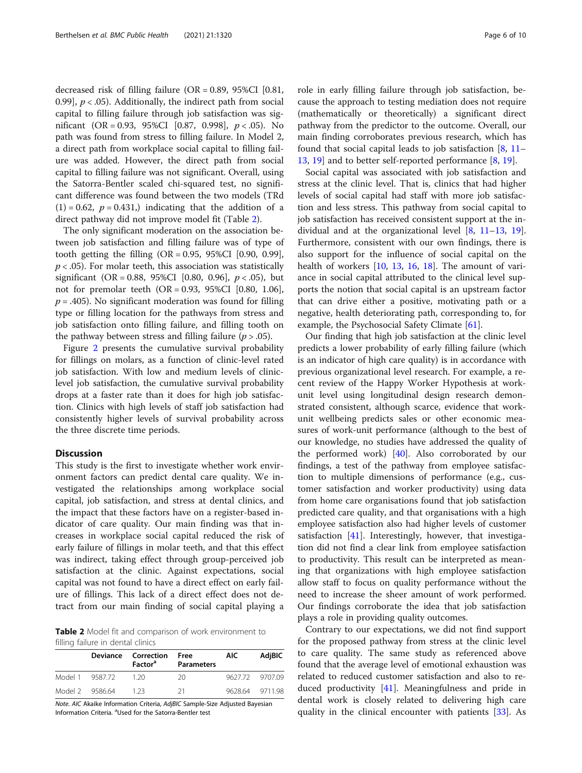decreased risk of filling failure (OR = 0.89, 95%CI [0.81, 0.99],  $p < .05$ ). Additionally, the indirect path from social capital to filling failure through job satisfaction was significant (OR = 0.93, 95%CI [0.87, 0.998],  $p < .05$ ). No path was found from stress to filling failure. In Model 2, a direct path from workplace social capital to filling failure was added. However, the direct path from social capital to filling failure was not significant. Overall, using the Satorra-Bentler scaled chi-squared test, no significant difference was found between the two models (TRd  $(1) = 0.62$ ,  $p = 0.431$ , indicating that the addition of a direct pathway did not improve model fit (Table 2).

The only significant moderation on the association between job satisfaction and filling failure was of type of tooth getting the filling  $(OR = 0.95, 95\% CI$   $[0.90, 0.99]$ ,  $p < .05$ ). For molar teeth, this association was statistically significant (OR = 0.88, 95%CI [0.80, 0.96],  $p < .05$ ), but not for premolar teeth (OR = 0.93, 95%CI [0.80, 1.06],  $p = .405$ ). No significant moderation was found for filling type or filling location for the pathways from stress and job satisfaction onto filling failure, and filling tooth on the pathway between stress and filling failure ( $p > .05$ ).

Figure [2](#page-6-0) presents the cumulative survival probability for fillings on molars, as a function of clinic-level rated job satisfaction. With low and medium levels of cliniclevel job satisfaction, the cumulative survival probability drops at a faster rate than it does for high job satisfaction. Clinics with high levels of staff job satisfaction had consistently higher levels of survival probability across the three discrete time periods.

#### **Discussion**

This study is the first to investigate whether work environment factors can predict dental care quality. We investigated the relationships among workplace social capital, job satisfaction, and stress at dental clinics, and the impact that these factors have on a register-based indicator of care quality. Our main finding was that increases in workplace social capital reduced the risk of early failure of fillings in molar teeth, and that this effect was indirect, taking effect through group-perceived job satisfaction at the clinic. Against expectations, social capital was not found to have a direct effect on early failure of fillings. This lack of a direct effect does not detract from our main finding of social capital playing a

Table 2 Model fit and comparison of work environment to filling failure in dental clinics

|                 | Deviance Correction<br><b>Factor<sup>a</sup></b> | Free<br><b>Parameters</b> | AIC. | AdjBIC          |
|-----------------|--------------------------------------------------|---------------------------|------|-----------------|
| Model 1 9587.72 | - 1.20                                           | 20.                       |      | 9627.72 9707.09 |
| Model 2 9586.64 | - 1.23                                           | 21                        |      | 9628.64 9711.98 |

Note. AIC Akaike Information Criteria, AdjBIC Sample-Size Adjusted Bayesian Information Criteria. <sup>a</sup>Used for the Satorra-Bentler test

role in early filling failure through job satisfaction, because the approach to testing mediation does not require (mathematically or theoretically) a significant direct pathway from the predictor to the outcome. Overall, our main finding corroborates previous research, which has found that social capital leads to job satisfaction  $[8, 11 [8, 11 [8, 11 [8, 11-$ [13,](#page-8-0) [19](#page-8-0)] and to better self-reported performance [\[8](#page-8-0), [19](#page-8-0)].

Social capital was associated with job satisfaction and stress at the clinic level. That is, clinics that had higher levels of social capital had staff with more job satisfaction and less stress. This pathway from social capital to job satisfaction has received consistent support at the individual and at the organizational level [\[8](#page-8-0), [11](#page-8-0)–[13,](#page-8-0) [19](#page-8-0)]. Furthermore, consistent with our own findings, there is also support for the influence of social capital on the health of workers [\[10](#page-8-0), [13](#page-8-0), [16,](#page-8-0) [18\]](#page-8-0). The amount of variance in social capital attributed to the clinical level supports the notion that social capital is an upstream factor that can drive either a positive, motivating path or a negative, health deteriorating path, corresponding to, for example, the Psychosocial Safety Climate [\[61\]](#page-9-0).

Our finding that high job satisfaction at the clinic level predicts a lower probability of early filling failure (which is an indicator of high care quality) is in accordance with previous organizational level research. For example, a recent review of the Happy Worker Hypothesis at workunit level using longitudinal design research demonstrated consistent, although scarce, evidence that workunit wellbeing predicts sales or other economic measures of work-unit performance (although to the best of our knowledge, no studies have addressed the quality of the performed work) [[40\]](#page-9-0). Also corroborated by our findings, a test of the pathway from employee satisfaction to multiple dimensions of performance (e.g., customer satisfaction and worker productivity) using data from home care organisations found that job satisfaction predicted care quality, and that organisations with a high employee satisfaction also had higher levels of customer satisfaction [[41](#page-9-0)]. Interestingly, however, that investigation did not find a clear link from employee satisfaction to productivity. This result can be interpreted as meaning that organizations with high employee satisfaction allow staff to focus on quality performance without the need to increase the sheer amount of work performed. Our findings corroborate the idea that job satisfaction plays a role in providing quality outcomes.

Contrary to our expectations, we did not find support for the proposed pathway from stress at the clinic level to care quality. The same study as referenced above found that the average level of emotional exhaustion was related to reduced customer satisfaction and also to reduced productivity [[41\]](#page-9-0). Meaningfulness and pride in dental work is closely related to delivering high care quality in the clinical encounter with patients [\[33](#page-9-0)]. As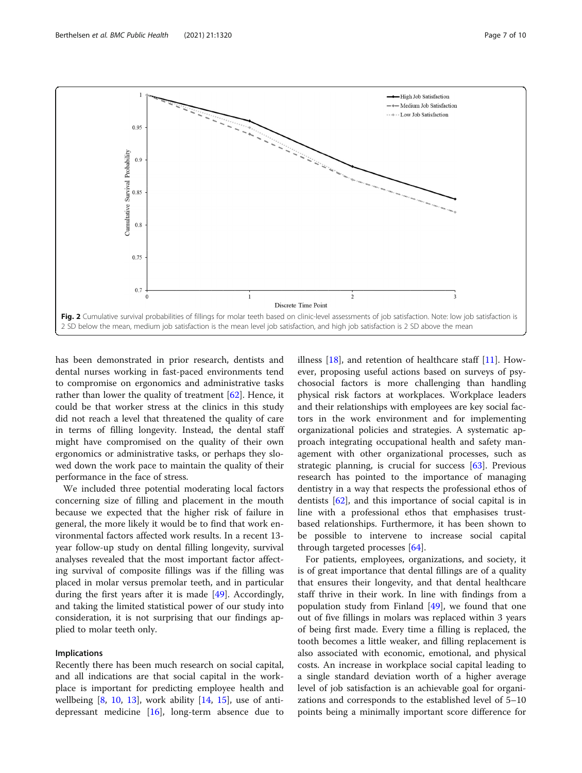<span id="page-6-0"></span>

has been demonstrated in prior research, dentists and dental nurses working in fast-paced environments tend to compromise on ergonomics and administrative tasks rather than lower the quality of treatment [\[62](#page-9-0)]. Hence, it could be that worker stress at the clinics in this study did not reach a level that threatened the quality of care in terms of filling longevity. Instead, the dental staff might have compromised on the quality of their own ergonomics or administrative tasks, or perhaps they slowed down the work pace to maintain the quality of their performance in the face of stress.

We included three potential moderating local factors concerning size of filling and placement in the mouth because we expected that the higher risk of failure in general, the more likely it would be to find that work environmental factors affected work results. In a recent 13 year follow-up study on dental filling longevity, survival analyses revealed that the most important factor affecting survival of composite fillings was if the filling was placed in molar versus premolar teeth, and in particular during the first years after it is made [\[49\]](#page-9-0). Accordingly, and taking the limited statistical power of our study into consideration, it is not surprising that our findings applied to molar teeth only.

#### Implications

Recently there has been much research on social capital, and all indications are that social capital in the workplace is important for predicting employee health and wellbeing  $[8, 10, 13]$  $[8, 10, 13]$  $[8, 10, 13]$  $[8, 10, 13]$  $[8, 10, 13]$  $[8, 10, 13]$ , work ability  $[14, 15]$  $[14, 15]$  $[14, 15]$  $[14, 15]$ , use of antidepressant medicine  $[16]$  $[16]$ , long-term absence due to

illness [[18](#page-8-0)], and retention of healthcare staff [[11](#page-8-0)]. However, proposing useful actions based on surveys of psychosocial factors is more challenging than handling physical risk factors at workplaces. Workplace leaders and their relationships with employees are key social factors in the work environment and for implementing organizational policies and strategies. A systematic approach integrating occupational health and safety management with other organizational processes, such as strategic planning, is crucial for success [[63\]](#page-9-0). Previous research has pointed to the importance of managing dentistry in a way that respects the professional ethos of dentists [\[62](#page-9-0)], and this importance of social capital is in line with a professional ethos that emphasises trustbased relationships. Furthermore, it has been shown to be possible to intervene to increase social capital through targeted processes [[64\]](#page-9-0).

For patients, employees, organizations, and society, it is of great importance that dental fillings are of a quality that ensures their longevity, and that dental healthcare staff thrive in their work. In line with findings from a population study from Finland [[49\]](#page-9-0), we found that one out of five fillings in molars was replaced within 3 years of being first made. Every time a filling is replaced, the tooth becomes a little weaker, and filling replacement is also associated with economic, emotional, and physical costs. An increase in workplace social capital leading to a single standard deviation worth of a higher average level of job satisfaction is an achievable goal for organizations and corresponds to the established level of 5–10 points being a minimally important score difference for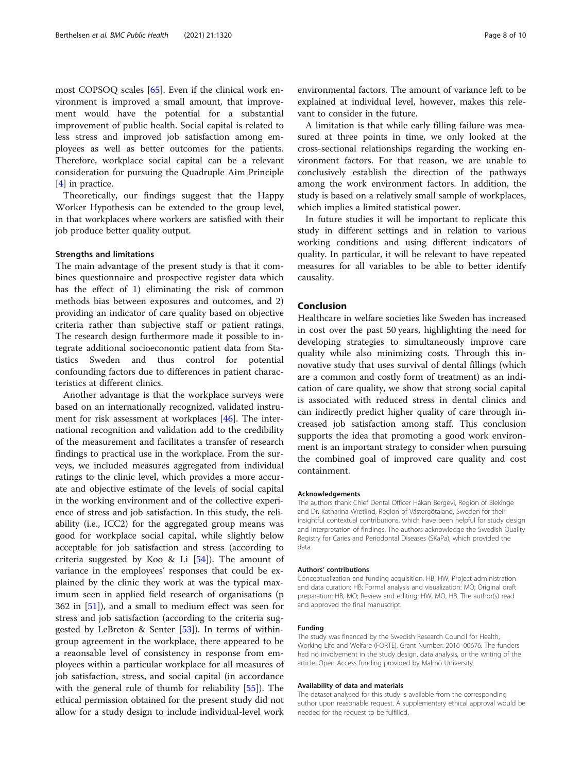most COPSOQ scales [[65\]](#page-9-0). Even if the clinical work environment is improved a small amount, that improvement would have the potential for a substantial improvement of public health. Social capital is related to less stress and improved job satisfaction among employees as well as better outcomes for the patients. Therefore, workplace social capital can be a relevant consideration for pursuing the Quadruple Aim Principle [[4\]](#page-8-0) in practice.

Theoretically, our findings suggest that the Happy Worker Hypothesis can be extended to the group level, in that workplaces where workers are satisfied with their job produce better quality output.

#### Strengths and limitations

The main advantage of the present study is that it combines questionnaire and prospective register data which has the effect of 1) eliminating the risk of common methods bias between exposures and outcomes, and 2) providing an indicator of care quality based on objective criteria rather than subjective staff or patient ratings. The research design furthermore made it possible to integrate additional socioeconomic patient data from Statistics Sweden and thus control for potential confounding factors due to differences in patient characteristics at different clinics.

Another advantage is that the workplace surveys were based on an internationally recognized, validated instrument for risk assessment at workplaces [[46](#page-9-0)]. The international recognition and validation add to the credibility of the measurement and facilitates a transfer of research findings to practical use in the workplace. From the surveys, we included measures aggregated from individual ratings to the clinic level, which provides a more accurate and objective estimate of the levels of social capital in the working environment and of the collective experience of stress and job satisfaction. In this study, the reliability (i.e., ICC2) for the aggregated group means was good for workplace social capital, while slightly below acceptable for job satisfaction and stress (according to criteria suggested by Koo & Li  $[54]$  $[54]$ ). The amount of variance in the employees' responses that could be explained by the clinic they work at was the typical maximum seen in applied field research of organisations (p 362 in [[51\]](#page-9-0)), and a small to medium effect was seen for stress and job satisfaction (according to the criteria suggested by LeBreton & Senter [\[53](#page-9-0)]). In terms of withingroup agreement in the workplace, there appeared to be a reaonsable level of consistency in response from employees within a particular workplace for all measures of job satisfaction, stress, and social capital (in accordance with the general rule of thumb for reliability [\[55\]](#page-9-0)). The ethical permission obtained for the present study did not allow for a study design to include individual-level work

environmental factors. The amount of variance left to be explained at individual level, however, makes this relevant to consider in the future.

A limitation is that while early filling failure was measured at three points in time, we only looked at the cross-sectional relationships regarding the working environment factors. For that reason, we are unable to conclusively establish the direction of the pathways among the work environment factors. In addition, the study is based on a relatively small sample of workplaces, which implies a limited statistical power.

In future studies it will be important to replicate this study in different settings and in relation to various working conditions and using different indicators of quality. In particular, it will be relevant to have repeated measures for all variables to be able to better identify causality.

#### Conclusion

Healthcare in welfare societies like Sweden has increased in cost over the past 50 years, highlighting the need for developing strategies to simultaneously improve care quality while also minimizing costs. Through this innovative study that uses survival of dental fillings (which are a common and costly form of treatment) as an indication of care quality, we show that strong social capital is associated with reduced stress in dental clinics and can indirectly predict higher quality of care through increased job satisfaction among staff. This conclusion supports the idea that promoting a good work environment is an important strategy to consider when pursuing the combined goal of improved care quality and cost containment.

#### Acknowledgements

The authors thank Chief Dental Officer Håkan Bergevi, Region of Blekinge and Dr. Katharina Wretlind, Region of Västergötaland, Sweden for their insightful contextual contributions, which have been helpful for study design and interpretation of findings. The authors acknowledge the Swedish Quality Registry for Caries and Periodontal Diseases (SKaPa), which provided the data.

#### Authors' contributions

Conceptualization and funding acquisition: HB, HW; Project administration and data curation: HB; Formal analysis and visualization: MO; Original draft preparation: HB, MO; Review and editing: HW, MO, HB. The author(s) read and approved the final manuscript.

#### Funding

The study was financed by the Swedish Research Council for Health, Working Life and Welfare (FORTE), Grant Number: 2016–00676. The funders had no involvement in the study design, data analysis, or the writing of the article. Open Access funding provided by Malmö University.

#### Availability of data and materials

The dataset analysed for this study is available from the corresponding author upon reasonable request. A supplementary ethical approval would be needed for the request to be fulfilled.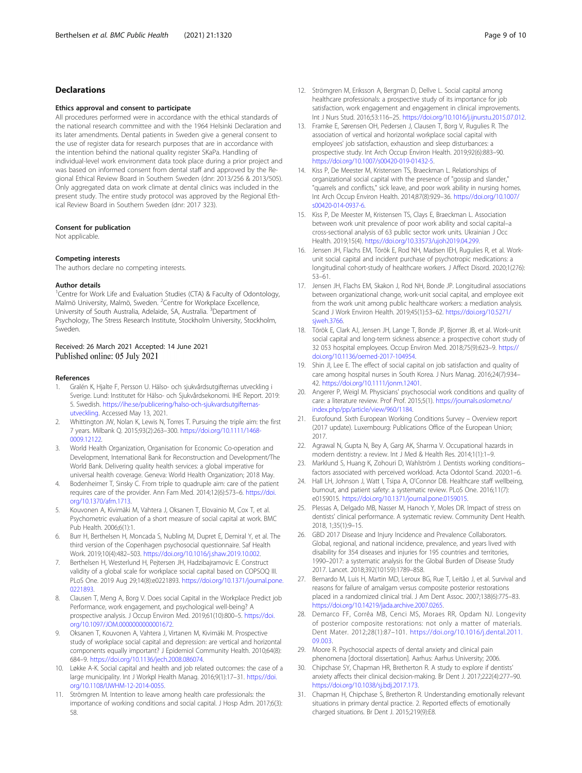#### <span id="page-8-0"></span>Declarations

#### Ethics approval and consent to participate

All procedures performed were in accordance with the ethical standards of the national research committee and with the 1964 Helsinki Declaration and its later amendments. Dental patients in Sweden give a general consent to the use of register data for research purposes that are in accordance with the intention behind the national quality register SKaPa. Handling of individual-level work environment data took place during a prior project and was based on informed consent from dental staff and approved by the Regional Ethical Review Board in Southern Sweden (dnr: 2013/256 & 2013/505). Only aggregated data on work climate at dental clinics was included in the present study. The entire study protocol was approved by the Regional Ethical Review Board in Southern Sweden (dnr: 2017 323).

#### Consent for publication

Not applicable.

#### Competing interests

The authors declare no competing interests.

#### Author details

<sup>1</sup> Centre for Work Life and Evaluation Studies (CTA) & Faculty of Odontology, Malmö University, Malmö, Sweden. <sup>2</sup>Centre for Workplace Excellence, University of South Australia, Adelaide, SA, Australia. <sup>3</sup>Department of Psychology, The Stress Research Institute, Stockholm University, Stockholm, Sweden.

## Received: 26 March 2021 Accepted: 14 June 2021<br>Published online: 05 July 2021

#### References

- 1. Gralén K, Hjalte F, Persson U. Hälso- och sjukvårdsutgifternas utveckling i Sverige. Lund: Institutet för Hälso- och Sjukvårdsekonomi. IHE Report. 2019: 5. Swedish. [https://ihe.se/publicering/halso-och-sjukvardsutgifternas](https://ihe.se/publicering/halso-och-sjukvardsutgifternas-utveckling)[utveckling.](https://ihe.se/publicering/halso-och-sjukvardsutgifternas-utveckling) Accessed May 13, 2021.
- 2. Whittington JW, Nolan K, Lewis N, Torres T. Pursuing the triple aim: the first 7 years. Milbank Q. 2015;93(2):263–300. [https://doi.org/10.1111/1468-](https://doi.org/10.1111/1468-0009.12122) [0009.12122.](https://doi.org/10.1111/1468-0009.12122)
- 3. World Health Organization, Organisation for Economic Co-operation and Development, International Bank for Reconstruction and Development/The World Bank. Delivering quality health services: a global imperative for universal health coverage. Geneva: World Health Organization; 2018 May.
- 4. Bodenheimer T, Sinsky C. From triple to quadruple aim: care of the patient requires care of the provider. Ann Fam Med. 2014;12(6):573–6. [https://doi.](https://doi.org/10.1370/afm.1713) [org/10.1370/afm.1713.](https://doi.org/10.1370/afm.1713)
- 5. Kouvonen A, Kivimäki M, Vahtera J, Oksanen T, Elovainio M, Cox T, et al. Psychometric evaluation of a short measure of social capital at work. BMC Pub Health. 2006;6(1):1.
- 6. Burr H, Berthelsen H, Moncada S, Nubling M, Dupret E, Demiral Y, et al. The third version of the Copenhagen psychosocial questionnaire. Saf Health Work. 2019;10(4):482–503. [https://doi.org/10.1016/j.shaw.2019.10.002.](https://doi.org/10.1016/j.shaw.2019.10.002)
- 7. Berthelsen H, Westerlund H, Pejtersen JH, Hadzibajramovic E. Construct validity of a global scale for workplace social capital based on COPSOQ III. PLoS One. 2019 Aug 29;14(8):e0221893. [https://doi.org/10.1371/journal.pone.](https://doi.org/10.1371/journal.pone.0221893) [0221893.](https://doi.org/10.1371/journal.pone.0221893)
- 8. Clausen T, Meng A, Borg V. Does social Capital in the Workplace Predict job Performance, work engagement, and psychological well-being? A prospective analysis. J Occup Environ Med. 2019;61(10):800–5. [https://doi.](https://doi.org/10.1097/JOM.0000000000001672) [org/10.1097/JOM.0000000000001672](https://doi.org/10.1097/JOM.0000000000001672).
- 9. Oksanen T, Kouvonen A, Vahtera J, Virtanen M, Kivimäki M. Prospective study of workplace social capital and depression: are vertical and horizontal components equally important? J Epidemiol Community Health. 2010;64(8): 684–9. [https://doi.org/10.1136/jech.2008.086074.](https://doi.org/10.1136/jech.2008.086074)
- 10. Løkke A-K. Social capital and health and job related outcomes: the case of a large municipality. Int J Workpl Health Manag. 2016;9(1):17–31. [https://doi.](https://doi.org/10.1108/IJWHM-12-2014-0055) [org/10.1108/IJWHM-12-2014-0055.](https://doi.org/10.1108/IJWHM-12-2014-0055)
- 11. Strömgren M. Intention to leave among health care professionals: the importance of working conditions and social capital. J Hosp Adm. 2017;6(3): 58.
- 12. Strömgren M, Eriksson A, Bergman D, Dellve L. Social capital among healthcare professionals: a prospective study of its importance for job satisfaction, work engagement and engagement in clinical improvements. Int J Nurs Stud. 2016;53:116–25. <https://doi.org/10.1016/j.ijnurstu.2015.07.012>.
- 13. Framke E, Sørensen OH, Pedersen J, Clausen T, Borg V, Rugulies R. The association of vertical and horizontal workplace social capital with employees' job satisfaction, exhaustion and sleep disturbances: a prospective study. Int Arch Occup Environ Health. 2019;92(6):883–90. [https://doi.org/10.1007/s00420-019-01432-5.](https://doi.org/10.1007/s00420-019-01432-5)
- 14. Kiss P, De Meester M, Kristensen TS, Braeckman L. Relationships of organizational social capital with the presence of "gossip and slander," "quarrels and conflicts," sick leave, and poor work ability in nursing homes. Int Arch Occup Environ Health. 2014;87(8):929–36. [https://doi.org/10.1007/](https://doi.org/10.1007/s00420-014-0937-6) [s00420-014-0937-6.](https://doi.org/10.1007/s00420-014-0937-6)
- 15. Kiss P, De Meester M, Kristensen TS, Clays E, Braeckman L. Association between work unit prevalence of poor work ability and social capital–a cross-sectional analysis of 63 public sector work units. Ukrainian J Occ Health. 2019;15(4). <https://doi.org/10.33573/ujoh2019.04.299>.
- 16. Jensen JH, Flachs EM, Török E, Rod NH, Madsen IEH, Rugulies R, et al. Workunit social capital and incident purchase of psychotropic medications: a longitudinal cohort-study of healthcare workers. J Affect Disord. 2020;1(276): 53–61.
- 17. Jensen JH, Flachs EM, Skakon J, Rod NH, Bonde JP. Longitudinal associations between organizational change, work-unit social capital, and employee exit from the work unit among public healthcare workers: a mediation analysis. Scand J Work Environ Health. 2019;45(1):53–62. [https://doi.org/10.5271/](https://doi.org/10.5271/sjweh.3766) [sjweh.3766.](https://doi.org/10.5271/sjweh.3766)
- 18. Török E, Clark AJ, Jensen JH, Lange T, Bonde JP, Bjorner JB, et al. Work-unit social capital and long-term sickness absence: a prospective cohort study of 32 053 hospital employees. Occup Environ Med. 2018;75(9):623–9. [https://](https://doi.org/10.1136/oemed-2017-104954) [doi.org/10.1136/oemed-2017-104954.](https://doi.org/10.1136/oemed-2017-104954)
- 19. Shin JI, Lee E. The effect of social capital on job satisfaction and quality of care among hospital nurses in South Korea. J Nurs Manag. 2016;24(7):934– 42. <https://doi.org/10.1111/jonm.12401>.
- 20. Angerer P, Weigl M. Physicians' psychosocial work conditions and quality of care: a literature review. Prof Prof. 2015;5(1). [https://journals.oslomet.no/](https://journals.oslomet.no/index.php/pp/article/view/960/1184) [index.php/pp/article/view/960/1184.](https://journals.oslomet.no/index.php/pp/article/view/960/1184)
- 21. Eurofound. Sixth European Working Conditions Survey Overview report (2017 update). Luxembourg: Publications Office of the European Union; 2017.
- 22. Agrawal N, Gupta N, Bey A, Garg AK, Sharma V. Occupational hazards in modern dentistry: a review. Int J Med & Health Res. 2014;1(1):1–9.
- 23. Marklund S, Huang K, Zohouri D, Wahlström J. Dentists working conditions– factors associated with perceived workload. Acta Odontol Scand. 2020:1–6.
- 24. Hall LH, Johnson J, Watt I, Tsipa A, O'Connor DB. Healthcare staff wellbeing, burnout, and patient safety: a systematic review. PLoS One. 2016;11(7): e0159015. <https://doi.org/10.1371/journal.pone.0159015>.
- 25. Plessas A, Delgado MB, Nasser M, Hanoch Y, Moles DR. Impact of stress on dentists' clinical performance. A systematic review. Community Dent Health. 2018, 1;35(1):9–15.
- 26. GBD 2017 Disease and Injury Incidence and Prevalence Collaborators. Global, regional, and national incidence, prevalence, and years lived with disability for 354 diseases and injuries for 195 countries and territories, 1990–2017: a systematic analysis for the Global Burden of Disease Study 2017. Lancet. 2018;392(10159):1789–858.
- 27. Bernardo M, Luis H, Martin MD, Leroux BG, Rue T, Leitão J, et al. Survival and reasons for failure of amalgam versus composite posterior restorations placed in a randomized clinical trial. J Am Dent Assoc. 2007;138(6):775–83. <https://doi.org/10.14219/jada.archive.2007.0265>.
- 28. Demarco FF, Corrêa MB, Cenci MS, Moraes RR, Opdam NJ. Longevity of posterior composite restorations: not only a matter of materials. Dent Mater. 2012;28(1):87–101. [https://doi.org/10.1016/j.dental.2011.](https://doi.org/10.1016/j.dental.2011.09.003) [09.003.](https://doi.org/10.1016/j.dental.2011.09.003)
- 29. Moore R. Psychosocial aspects of dental anxiety and clinical pain phenomena [doctoral dissertation]. Aarhus: Aarhus University; 2006.
- 30. Chipchase SY, Chapman HR, Bretherton R. A study to explore if dentists' anxiety affects their clinical decision-making. Br Dent J. 2017;222(4):277–90. [https://doi.org/10.1038/sj.bdj.2017.173.](https://doi.org/10.1038/sj.bdj.2017.173)
- 31. Chapman H, Chipchase S, Bretherton R. Understanding emotionally relevant situations in primary dental practice. 2. Reported effects of emotionally charged situations. Br Dent J. 2015;219(9):E8.